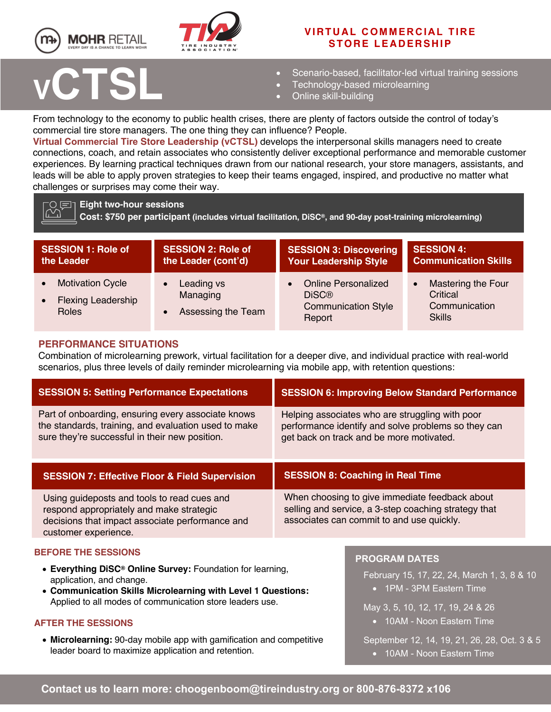



# **V IRTUAL COMMERCIAL TIRE STORE LEADERSHIP**

# **<sup>V</sup>CTSL**

## • Scenario-based, facilitator-led virtual training sessions

- Technology-based microlearning
- Online skill-building

From technology to the economy to public health crises, there are plenty of factors outside the control of today's commercial tire store managers. The one thing they can influence? People.

**Virtual Commercial Tire Store Leadership (vCTSL)** develops the interpersonal skills managers need to create connections, coach, and retain associates who consistently deliver exceptional performance and memorable customer experiences. By learning practical techniques drawn from our national research, your store managers, assistants, and leads will be able to apply proven strategies to keep their teams engaged, inspired, and productive no matter what challenges or surprises may come their way.

**Eight two-hour sessions Cost: \$750 per participant (includes virtual facilitation, DiSC®, and 90-day post-training microlearning)** 

| <b>SESSION 1: Role of</b>                                            | <b>SESSION 2: Role of</b>                    | <b>SESSION 3: Discovering</b>                                                      | <b>SESSION 4:</b>                                                                    |
|----------------------------------------------------------------------|----------------------------------------------|------------------------------------------------------------------------------------|--------------------------------------------------------------------------------------|
| the Leader                                                           | the Leader (cont'd)                          | <b>Your Leadership Style</b>                                                       | <b>Communication Skills</b>                                                          |
| <b>Motivation Cycle</b><br><b>Flexing Leadership</b><br><b>Roles</b> | Leading vs<br>Managing<br>Assessing the Team | <b>Online Personalized</b><br><b>DiSC®</b><br><b>Communication Style</b><br>Report | <b>Mastering the Four</b><br>$\bullet$<br>Critical<br>Communication<br><b>Skills</b> |

## **PERFORMANCE SITUATIONS**

Combination of microlearning prework, virtual facilitation for a deeper dive, and individual practice with real-world scenarios, plus three levels of daily reminder microlearning via mobile app, with retention questions:

| <b>SESSION 5: Setting Performance Expectations</b>                                                                                                                 | <b>SESSION 6: Improving Below Standard Performance</b>                                                                                              |  |
|--------------------------------------------------------------------------------------------------------------------------------------------------------------------|-----------------------------------------------------------------------------------------------------------------------------------------------------|--|
| Part of onboarding, ensuring every associate knows<br>the standards, training, and evaluation used to make<br>sure they're successful in their new position.       | Helping associates who are struggling with poor<br>performance identify and solve problems so they can<br>get back on track and be more motivated.  |  |
| <b>SESSION 7: Effective Floor &amp; Field Supervision</b>                                                                                                          | <b>SESSION 8: Coaching in Real Time</b>                                                                                                             |  |
| Using guideposts and tools to read cues and<br>respond appropriately and make strategic<br>decisions that impact associate performance and<br>customer experience. | When choosing to give immediate feedback about<br>selling and service, a 3-step coaching strategy that<br>associates can commit to and use quickly. |  |
| <b>BEFORE THE SESSIONS</b>                                                                                                                                         | <b>PROGRAM DATES</b>                                                                                                                                |  |
| • Everything DiSC <sup>®</sup> Online Survey: Foundation for learning,<br>application, and change.<br>• Communication Skills Microlearning with Level 1 Questions: | February 15, 17, 22, 24, March 1, 3, 8 & 10<br>• 1PM - 3PM Eastern Time                                                                             |  |
| Applied to all modes of communication store leaders use.                                                                                                           |                                                                                                                                                     |  |

### **AFTER THE SESSIONS**

• **Microlearning:** 90-day mobile app with gamification and competitive leader board to maximize application and retention.

May 3, 5, 10, 12, 17, 19, 24 & 26 • 10AM - Noon Eastern Time

September 12, 14, 19, 21, 26, 28, Oct. 3 & 5 • 10AM - Noon Eastern Time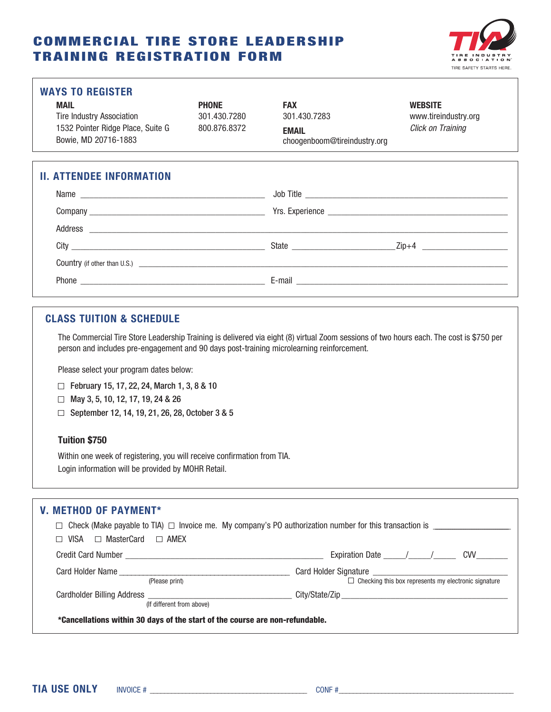# COMMERCIAL TIRE STORE LEADERSHIP TRAINING REGISTRATION FORM



#### **WAYS TO REGISTER**

| MAIL                              | <b>PHONE</b> | <b>FAX</b>                   | <b>WEBSITE</b> |
|-----------------------------------|--------------|------------------------------|----------------|
| Tire Industry Association         | 301.430.7280 | 301.430.7283                 | www.tirei      |
| 1532 Pointer Ridge Place, Suite G | 800.876.8372 | <b>EMAIL</b>                 | Click on 1     |
| Bowie, MD 20716-1883              |              | choogenboom@tireindustry.org |                |

Tire Industry Association 301.430.7280 301.430.7283 www.tireindustry.org 1532 Pointer Ridge Place, Suite G 800.876.8372 **EMAIL** *Click on Training* choogenboom@tireindustry.org

## **II. ATTENDEE INFORMATION**

| Name                                                                                                                                                                                                                          | Job Title |                               |
|-------------------------------------------------------------------------------------------------------------------------------------------------------------------------------------------------------------------------------|-----------|-------------------------------|
|                                                                                                                                                                                                                               |           |                               |
| Address entertainment and the contract of the contract of the contract of the contract of the contract of the contract of the contract of the contract of the contract of the contract of the contract of the contract of the |           |                               |
|                                                                                                                                                                                                                               |           | Zip+4 _______________________ |
|                                                                                                                                                                                                                               |           |                               |
|                                                                                                                                                                                                                               |           |                               |

## **CLASS TUITION & SCHEDULE**

The Commercial Tire Store Leadership Training is delivered via eight (8) virtual Zoom sessions of two hours each. The cost is \$750 per person and includes pre-engagement and 90 days post-training microlearning reinforcement.

Please select your program dates below:

- February 15, 17, 22, 24, March 1, 3, 8 & 10
- May 3, 5, 10, 12, 17, 19, 24 & 26
- □ September 12, 14, 19, 21, 26, 28, October 3 & 5

## **Tuition \$750**

Within one week of registering, you will receive confirmation from TIA. Login information will be provided by MOHR Retail.

| <b>V. METHOD OF PAYMENT*</b>                                                 |                                                                                                                    |
|------------------------------------------------------------------------------|--------------------------------------------------------------------------------------------------------------------|
|                                                                              | $\Box$ Check (Make payable to TIA) $\Box$ Invoice me. My company's PO authorization number for this transaction is |
| $\Box$ VISA $\Box$ MasterCard $\Box$ AMEX                                    |                                                                                                                    |
|                                                                              |                                                                                                                    |
|                                                                              |                                                                                                                    |
| (Please print)                                                               | $\Box$ Checking this box represents my electronic signature                                                        |
|                                                                              |                                                                                                                    |
| (If different from above)                                                    |                                                                                                                    |
| *Cancellations within 30 days of the start of the course are non-refundable. |                                                                                                                    |